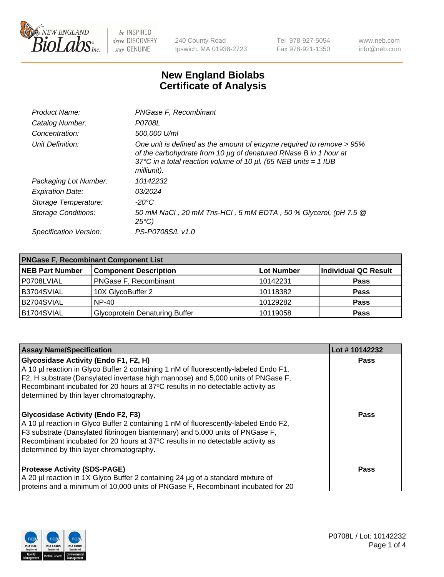

240 County Road Ipswich, MA 01938-2723 Tel 978-927-5054 Fax 978-921-1350 www.neb.com info@neb.com

## **New England Biolabs Certificate of Analysis**

| Product Name:              | PNGase F, Recombinant                                                                                                                                                                                                           |
|----------------------------|---------------------------------------------------------------------------------------------------------------------------------------------------------------------------------------------------------------------------------|
| Catalog Number:            | P0708L                                                                                                                                                                                                                          |
| Concentration:             | 500,000 U/ml                                                                                                                                                                                                                    |
| Unit Definition:           | One unit is defined as the amount of enzyme required to remove > 95%<br>of the carbohydrate from 10 µg of denatured RNase B in 1 hour at<br>37°C in a total reaction volume of 10 $\mu$ l. (65 NEB units = 1 IUB<br>milliunit). |
| Packaging Lot Number:      | 10142232                                                                                                                                                                                                                        |
| <b>Expiration Date:</b>    | 03/2024                                                                                                                                                                                                                         |
| Storage Temperature:       | -20°C                                                                                                                                                                                                                           |
| <b>Storage Conditions:</b> | 50 mM NaCl, 20 mM Tris-HCl, 5 mM EDTA, 50 % Glycerol, (pH 7.5 @<br>$25^{\circ}C$                                                                                                                                                |
| Specification Version:     | PS-P0708S/L v1.0                                                                                                                                                                                                                |

| <b>PNGase F, Recombinant Component List</b> |                                       |                   |                      |  |
|---------------------------------------------|---------------------------------------|-------------------|----------------------|--|
| <b>NEB Part Number</b>                      | <b>Component Description</b>          | <b>Lot Number</b> | Individual QC Result |  |
| P0708LVIAL                                  | PNGase F, Recombinant                 | 10142231          | <b>Pass</b>          |  |
| B3704SVIAL                                  | 10X GlycoBuffer 2                     | 10118382          | <b>Pass</b>          |  |
| B2704SVIAL                                  | $NP-40$                               | 10129282          | <b>Pass</b>          |  |
| B1704SVIAL                                  | <b>Glycoprotein Denaturing Buffer</b> | 10119058          | <b>Pass</b>          |  |

| <b>Assay Name/Specification</b>                                                                                                                                                                                                                                                                                                                                                               | Lot #10142232 |
|-----------------------------------------------------------------------------------------------------------------------------------------------------------------------------------------------------------------------------------------------------------------------------------------------------------------------------------------------------------------------------------------------|---------------|
| <b>Glycosidase Activity (Endo F1, F2, H)</b><br>A 10 µl reaction in Glyco Buffer 2 containing 1 nM of fluorescently-labeled Endo F1,<br>F2, H substrate (Dansylated invertase high mannose) and 5,000 units of PNGase F,<br>Recombinant incubated for 20 hours at 37°C results in no detectable activity as                                                                                   | Pass          |
| determined by thin layer chromatography.<br><b>Glycosidase Activity (Endo F2, F3)</b><br>A 10 µl reaction in Glyco Buffer 2 containing 1 nM of fluorescently-labeled Endo F2,<br>F3 substrate (Dansylated fibrinogen biantennary) and 5,000 units of PNGase F,<br>Recombinant incubated for 20 hours at 37°C results in no detectable activity as<br>determined by thin layer chromatography. | <b>Pass</b>   |
| <b>Protease Activity (SDS-PAGE)</b><br>A 20 µl reaction in 1X Glyco Buffer 2 containing 24 µg of a standard mixture of<br>proteins and a minimum of 10,000 units of PNGase F, Recombinant incubated for 20                                                                                                                                                                                    | Pass          |

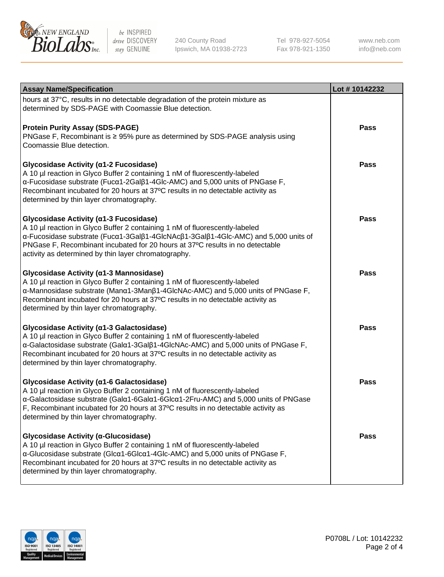

240 County Road Ipswich, MA 01938-2723 Tel 978-927-5054 Fax 978-921-1350 www.neb.com info@neb.com

| <b>Assay Name/Specification</b>                                                                                                                                                                                                                                                                                                                      | Lot #10142232 |
|------------------------------------------------------------------------------------------------------------------------------------------------------------------------------------------------------------------------------------------------------------------------------------------------------------------------------------------------------|---------------|
| hours at 37°C, results in no detectable degradation of the protein mixture as<br>determined by SDS-PAGE with Coomassie Blue detection.                                                                                                                                                                                                               |               |
| <b>Protein Purity Assay (SDS-PAGE)</b><br>PNGase F, Recombinant is ≥ 95% pure as determined by SDS-PAGE analysis using<br>Coomassie Blue detection.                                                                                                                                                                                                  | <b>Pass</b>   |
| Glycosidase Activity (α1-2 Fucosidase)<br>A 10 µl reaction in Glyco Buffer 2 containing 1 nM of fluorescently-labeled<br>α-Fucosidase substrate (Fucα1-2Galβ1-4Glc-AMC) and 5,000 units of PNGase F,<br>Recombinant incubated for 20 hours at 37°C results in no detectable activity as<br>determined by thin layer chromatography.                  | <b>Pass</b>   |
| Glycosidase Activity (α1-3 Fucosidase)<br>A 10 µl reaction in Glyco Buffer 2 containing 1 nM of fluorescently-labeled<br>α-Fucosidase substrate (Fucα1-3Galβ1-4GlcNAcβ1-3Galβ1-4Glc-AMC) and 5,000 units of<br>PNGase F, Recombinant incubated for 20 hours at 37°C results in no detectable<br>activity as determined by thin layer chromatography. | <b>Pass</b>   |
| Glycosidase Activity (α1-3 Mannosidase)<br>A 10 µl reaction in Glyco Buffer 2 containing 1 nM of fluorescently-labeled<br>α-Mannosidase substrate (Manα1-3Manβ1-4GlcNAc-AMC) and 5,000 units of PNGase F,<br>Recombinant incubated for 20 hours at 37°C results in no detectable activity as<br>determined by thin layer chromatography.             | <b>Pass</b>   |
| Glycosidase Activity (α1-3 Galactosidase)<br>A 10 µl reaction in Glyco Buffer 2 containing 1 nM of fluorescently-labeled<br>α-Galactosidase substrate (Galα1-3Galβ1-4GlcNAc-AMC) and 5,000 units of PNGase F,<br>Recombinant incubated for 20 hours at 37°C results in no detectable activity as<br>determined by thin layer chromatography.         | <b>Pass</b>   |
| Glycosidase Activity (a1-6 Galactosidase)<br>A 10 µl reaction in Glyco Buffer 2 containing 1 nM of fluorescently-labeled<br>α-Galactosidase substrate (Galα1-6Galα1-6Glcα1-2Fru-AMC) and 5,000 units of PNGase<br>F, Recombinant incubated for 20 hours at 37°C results in no detectable activity as<br>determined by thin layer chromatography.     | Pass          |
| Glycosidase Activity (α-Glucosidase)<br>A 10 µl reaction in Glyco Buffer 2 containing 1 nM of fluorescently-labeled<br>α-Glucosidase substrate (Glcα1-6Glcα1-4Glc-AMC) and 5,000 units of PNGase F,<br>Recombinant incubated for 20 hours at 37°C results in no detectable activity as<br>determined by thin layer chromatography.                   | <b>Pass</b>   |

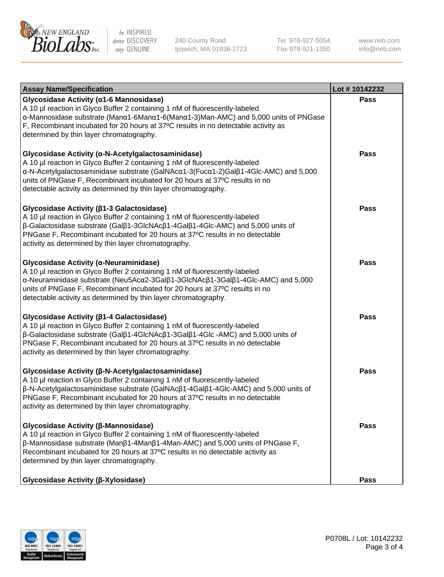

240 County Road Ipswich, MA 01938-2723 Tel 978-927-5054 Fax 978-921-1350 www.neb.com info@neb.com

| <b>Assay Name/Specification</b>                                                                                                                                                                                                                                                                                                                                                    | Lot #10142232 |
|------------------------------------------------------------------------------------------------------------------------------------------------------------------------------------------------------------------------------------------------------------------------------------------------------------------------------------------------------------------------------------|---------------|
| Glycosidase Activity (α1-6 Mannosidase)<br>A 10 µl reaction in Glyco Buffer 2 containing 1 nM of fluorescently-labeled<br>α-Mannosidase substrate (Manα1-6Manα1-6(Manα1-3)Man-AMC) and 5,000 units of PNGase<br>F, Recombinant incubated for 20 hours at 37°C results in no detectable activity as<br>determined by thin layer chromatography.                                     | Pass          |
| Glycosidase Activity (α-N-Acetylgalactosaminidase)<br>A 10 µl reaction in Glyco Buffer 2 containing 1 nM of fluorescently-labeled<br>α-N-Acetylgalactosaminidase substrate (GalNAcα1-3(Fucα1-2)Galβ1-4Glc-AMC) and 5,000<br>units of PNGase F, Recombinant incubated for 20 hours at 37°C results in no<br>detectable activity as determined by thin layer chromatography.         | Pass          |
| Glycosidase Activity (β1-3 Galactosidase)<br>A 10 µl reaction in Glyco Buffer 2 containing 1 nM of fluorescently-labeled<br>$\beta$ -Galactosidase substrate (Gal $\beta$ 1-3GlcNAc $\beta$ 1-4Gal $\beta$ 1-4Glc-AMC) and 5,000 units of<br>PNGase F, Recombinant incubated for 20 hours at 37°C results in no detectable<br>activity as determined by thin layer chromatography. | <b>Pass</b>   |
| Glycosidase Activity (α-Neuraminidase)<br>A 10 µl reaction in Glyco Buffer 2 containing 1 nM of fluorescently-labeled<br>α-Neuraminidase substrate (Neu5Acα2-3Galβ1-3GlcNAcβ1-3Galβ1-4Glc-AMC) and 5,000<br>units of PNGase F, Recombinant incubated for 20 hours at 37°C results in no<br>detectable activity as determined by thin layer chromatography.                         | Pass          |
| Glycosidase Activity (β1-4 Galactosidase)<br>A 10 µl reaction in Glyco Buffer 2 containing 1 nM of fluorescently-labeled<br>β-Galactosidase substrate (Galβ1-4GlcNAcβ1-3Galβ1-4Glc -AMC) and 5,000 units of<br>PNGase F, Recombinant incubated for 20 hours at 37°C results in no detectable<br>activity as determined by thin layer chromatography.                               | <b>Pass</b>   |
| Glycosidase Activity (β-N-Acetylgalactosaminidase)<br>A 10 µl reaction in Glyco Buffer 2 containing 1 nM of fluorescently-labeled<br>β-N-Acetylgalactosaminidase substrate (GalNAcβ1-4Galβ1-4Glc-AMC) and 5,000 units of<br>PNGase F, Recombinant incubated for 20 hours at 37°C results in no detectable<br>activity as determined by thin layer chromatography.                  | <b>Pass</b>   |
| Glycosidase Activity (β-Mannosidase)<br>A 10 µl reaction in Glyco Buffer 2 containing 1 nM of fluorescently-labeled<br>$\beta$ -Mannosidase substrate (Man $\beta$ 1-4Man $\beta$ 1-4Man-AMC) and 5,000 units of PNGase F,<br>Recombinant incubated for 20 hours at 37°C results in no detectable activity as<br>determined by thin layer chromatography.                          | <b>Pass</b>   |
| Glycosidase Activity (β-Xylosidase)                                                                                                                                                                                                                                                                                                                                                | <b>Pass</b>   |